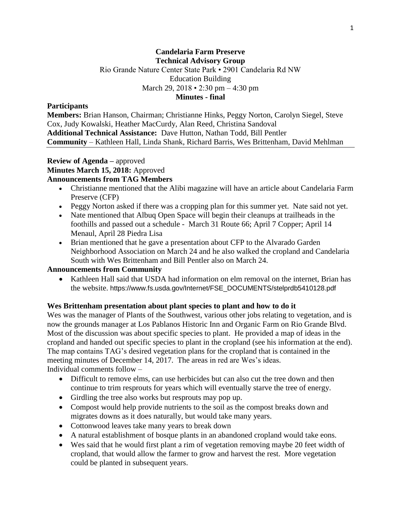### **Candelaria Farm Preserve Technical Advisory Group** Rio Grande Nature Center State Park • 2901 Candelaria Rd NW Education Building

March 29, 2018 • 2:30 pm – 4:30 pm

**Minutes - final**

### **Participants**

**Members:** Brian Hanson, Chairman; Christianne Hinks, Peggy Norton, Carolyn Siegel, Steve Cox, Judy Kowalski, Heather MacCurdy, Alan Reed, Christina Sandoval **Additional Technical Assistance:** Dave Hutton, Nathan Todd, Bill Pentler **Community** – Kathleen Hall, Linda Shank, Richard Barris, Wes Brittenham, David Mehlman

#### **Review of Agenda –** approved **Minutes March 15, 2018:** Approved **Announcements from TAG Members**

- Christianne mentioned that the Alibi magazine will have an article about Candelaria Farm Preserve (CFP)
- Peggy Norton asked if there was a cropping plan for this summer yet. Nate said not yet.
- Nate mentioned that Albuq Open Space will begin their cleanups at trailheads in the foothills and passed out a schedule - March 31 Route 66; April 7 Copper; April 14 Menaul, April 28 Piedra Lisa
- Brian mentioned that he gave a presentation about CFP to the Alvarado Garden Neighborhood Association on March 24 and he also walked the cropland and Candelaria South with Wes Brittenham and Bill Pentler also on March 24.

# **Announcements from Community**

• Kathleen Hall said that USDA had information on elm removal on the internet, Brian has the website. https://www.fs.usda.gov/Internet/FSE\_DOCUMENTS/stelprdb5410128.pdf

## **Wes Brittenham presentation about plant species to plant and how to do it**

Wes was the manager of Plants of the Southwest, various other jobs relating to vegetation, and is now the grounds manager at Los Pablanos Historic Inn and Organic Farm on Rio Grande Blvd. Most of the discussion was about specific species to plant. He provided a map of ideas in the cropland and handed out specific species to plant in the cropland (see his information at the end). The map contains TAG's desired vegetation plans for the cropland that is contained in the meeting minutes of December 14, 2017. The areas in red are Wes's ideas. Individual comments follow –

- Difficult to remove elms, can use herbicides but can also cut the tree down and then continue to trim resprouts for years which will eventually starve the tree of energy.
- Girdling the tree also works but resprouts may pop up.
- Compost would help provide nutrients to the soil as the compost breaks down and migrates downs as it does naturally, but would take many years.
- Cottonwood leaves take many years to break down
- A natural establishment of bosque plants in an abandoned cropland would take eons.
- Wes said that he would first plant a rim of vegetation removing maybe 20 feet width of cropland, that would allow the farmer to grow and harvest the rest. More vegetation could be planted in subsequent years.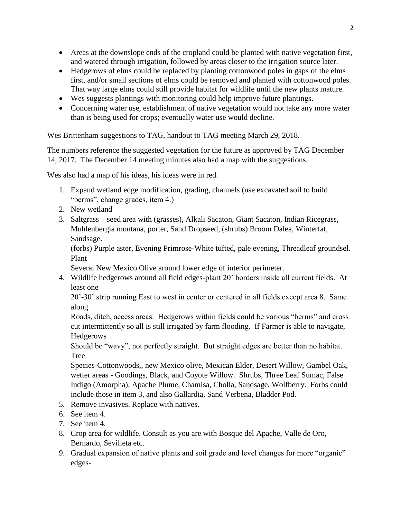- Areas at the downslope ends of the cropland could be planted with native vegetation first, and watered through irrigation, followed by areas closer to the irrigation source later.
- Hedgerows of elms could be replaced by planting cottonwood poles in gaps of the elms first, and/or small sections of elms could be removed and planted with cottonwood poles. That way large elms could still provide habitat for wildlife until the new plants mature.
- Wes suggests plantings with monitoring could help improve future plantings.
- Concerning water use, establishment of native vegetation would not take any more water than is being used for crops; eventually water use would decline.

## Wes Brittenham suggestions to TAG, handout to TAG meeting March 29, 2018.

The numbers reference the suggested vegetation for the future as approved by TAG December 14, 2017. The December 14 meeting minutes also had a map with the suggestions.

Wes also had a map of his ideas, his ideas were in red.

- 1. Expand wetland edge modification, grading, channels (use excavated soil to build "berms", change grades, item 4.)
- 2. New wetland
- 3. Saltgrass seed area with (grasses), Alkali Sacaton, Giant Sacaton, Indian Ricegrass, Muhlenbergia montana, porter, Sand Dropseed, (shrubs) Broom Dalea, Winterfat, Sandsage.

(forbs) Purple aster, Evening Primrose-White tufted, pale evening, Threadleaf groundsel. Plant

Several New Mexico Olive around lower edge of interior perimeter.

4. Wildlife hedgerows around all field edges-plant 20' borders inside all current fields. At least one

20'-30' strip running East to west in center or centered in all fields except area 8. Same along

Roads, ditch, access areas. Hedgerows within fields could be various "berms" and cross cut intermittently so all is still irrigated by farm flooding. If Farmer is able to navigate, Hedgerows

Should be "wavy", not perfectly straight. But straight edges are better than no habitat. Tree

Species-Cottonwoods,, new Mexico olive, Mexican Elder, Desert Willow, Gambel Oak, wetter areas - Goodings, Black, and Coyote Willow. Shrubs, Three Leaf Sumac, False Indigo (Amorpha), Apache Plume, Chamisa, Cholla, Sandsage, Wolfberry. Forbs could include those in item 3, and also Gallardia, Sand Verbena, Bladder Pod.

- 5. Remove invasives. Replace with natives.
- 6. See item 4.
- 7. See item 4.
- 8. Crop area for wildlife. Consult as you are with Bosque del Apache, Valle de Oro, Bernardo, Sevilleta etc.
- 9. Gradual expansion of native plants and soil grade and level changes for more "organic" edges-